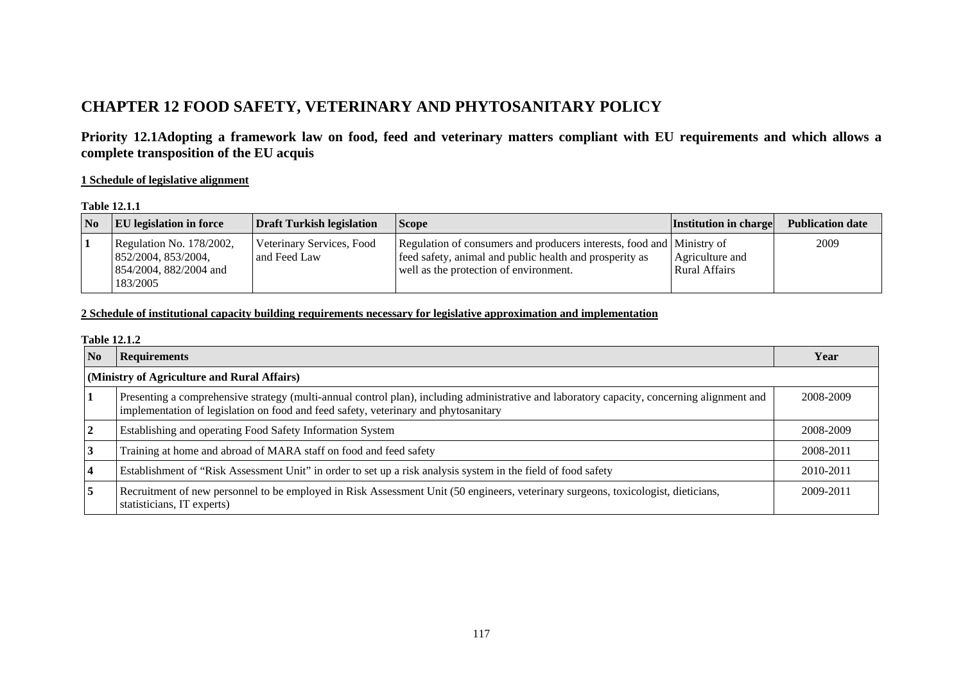# **CHAPTER 12 FOOD SAFETY, VETERINARY AND PHYTOSANITARY POLICY**

**Priority 12.1Adopting a framework law on food, feed and veterinary matters compliant with EU requirements and which allows a complete transposition of the EU acquis** 

### **1 Schedule of legislative alignment**

#### **Table 12.1.1**

| $\overline{\text{No}}$ | <b>EU</b> legislation in force                                                          | <b>Draft Turkish legislation</b>          | <b>Scope</b>                                                                                                                                                               | <b>Institution in charge</b>     | <b>Publication date</b> |
|------------------------|-----------------------------------------------------------------------------------------|-------------------------------------------|----------------------------------------------------------------------------------------------------------------------------------------------------------------------------|----------------------------------|-------------------------|
|                        | Regulation No. 178/2002,<br>  852/2004, 853/2004,<br>854/2004, 882/2004 and<br>183/2005 | Veterinary Services, Food<br>and Feed Law | Regulation of consumers and producers interests, food and Ministry of<br>feed safety, animal and public health and prosperity as<br>well as the protection of environment. | Agriculture and<br>Rural Affairs | 2009                    |

## **2 Schedule of institutional capacity building requirements necessary for legislative approximation and implementation**

#### **Table 12.1.2**

| N <sub>0</sub>                              | <b>Requirements</b>                                                                                                                                                                                                                | Year      |  |  |
|---------------------------------------------|------------------------------------------------------------------------------------------------------------------------------------------------------------------------------------------------------------------------------------|-----------|--|--|
| (Ministry of Agriculture and Rural Affairs) |                                                                                                                                                                                                                                    |           |  |  |
|                                             | Presenting a comprehensive strategy (multi-annual control plan), including administrative and laboratory capacity, concerning alignment and<br>implementation of legislation on food and feed safety, veterinary and phytosanitary | 2008-2009 |  |  |
| 2                                           | Establishing and operating Food Safety Information System                                                                                                                                                                          | 2008-2009 |  |  |
| 3                                           | Training at home and abroad of MARA staff on food and feed safety                                                                                                                                                                  | 2008-2011 |  |  |
|                                             | Establishment of "Risk Assessment Unit" in order to set up a risk analysis system in the field of food safety                                                                                                                      | 2010-2011 |  |  |
| 5                                           | Recruitment of new personnel to be employed in Risk Assessment Unit (50 engineers, veterinary surgeons, toxicologist, dieticians,<br>statisticians, IT experts)                                                                    | 2009-2011 |  |  |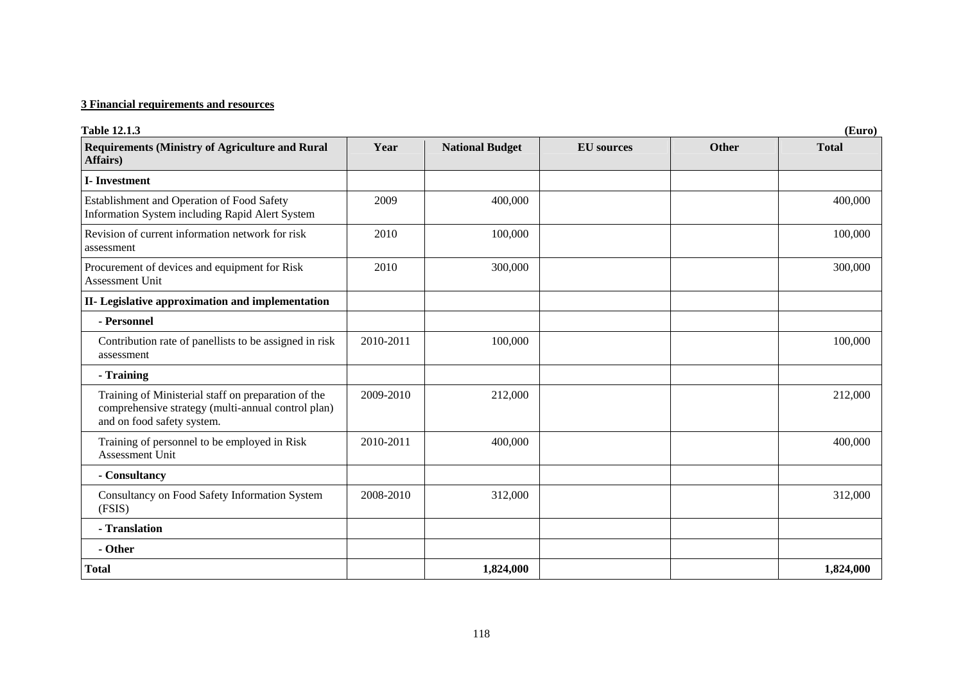| <b>Table 12.1.3</b><br>(Euro)                                                                                                           |           |                        |                   |              |              |
|-----------------------------------------------------------------------------------------------------------------------------------------|-----------|------------------------|-------------------|--------------|--------------|
| <b>Requirements (Ministry of Agriculture and Rural</b><br>Affairs)                                                                      | Year      | <b>National Budget</b> | <b>EU</b> sources | <b>Other</b> | <b>Total</b> |
| <b>I-Investment</b>                                                                                                                     |           |                        |                   |              |              |
| Establishment and Operation of Food Safety<br>Information System including Rapid Alert System                                           | 2009      | 400,000                |                   |              | 400,000      |
| Revision of current information network for risk<br>assessment                                                                          | 2010      | 100,000                |                   |              | 100,000      |
| Procurement of devices and equipment for Risk<br>Assessment Unit                                                                        | 2010      | 300,000                |                   |              | 300,000      |
| II- Legislative approximation and implementation                                                                                        |           |                        |                   |              |              |
| - Personnel                                                                                                                             |           |                        |                   |              |              |
| Contribution rate of panellists to be assigned in risk<br>assessment                                                                    | 2010-2011 | 100,000                |                   |              | 100,000      |
| - Training                                                                                                                              |           |                        |                   |              |              |
| Training of Ministerial staff on preparation of the<br>comprehensive strategy (multi-annual control plan)<br>and on food safety system. | 2009-2010 | 212,000                |                   |              | 212,000      |
| Training of personnel to be employed in Risk<br>Assessment Unit                                                                         | 2010-2011 | 400,000                |                   |              | 400,000      |
| - Consultancy                                                                                                                           |           |                        |                   |              |              |
| Consultancy on Food Safety Information System<br>(FSIS)                                                                                 | 2008-2010 | 312,000                |                   |              | 312,000      |
| - Translation                                                                                                                           |           |                        |                   |              |              |
| - Other                                                                                                                                 |           |                        |                   |              |              |
| <b>Total</b>                                                                                                                            |           | 1,824,000              |                   |              | 1,824,000    |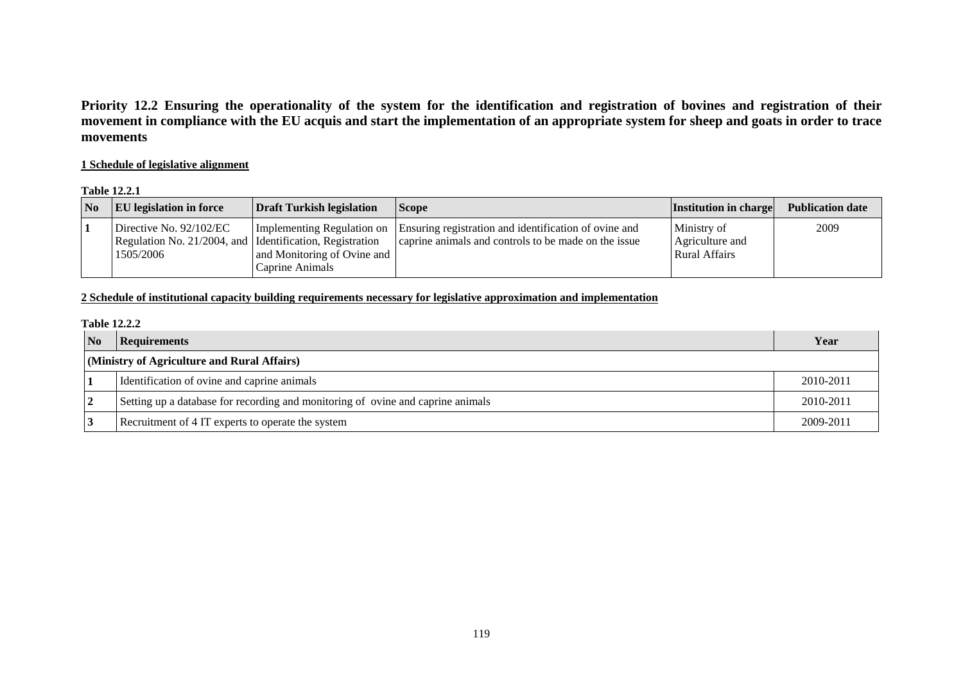**Priority 12.2 Ensuring the operationality of the system for the identification and registration of bovines and registration of their movement in compliance with the EU acquis and start the implementation of an appropriate system for sheep and goats in order to trace movements** 

## **1 Schedule of legislative alignment**

#### **Table 12.2.1**

| N <sub>0</sub> | <b>EU</b> legislation in force                                                                              | <b>Draft Turkish legislation</b>               | <b>Scope</b>                                                                                                                             | <b>Institution in charge</b>                    | <b>Publication date</b> |
|----------------|-------------------------------------------------------------------------------------------------------------|------------------------------------------------|------------------------------------------------------------------------------------------------------------------------------------------|-------------------------------------------------|-------------------------|
|                | Directive No. $92/102/EC$<br>Regulation No. 21/2004, and <i>I</i> Identification, Registration<br>1505/2006 | and Monitoring of Ovine and<br>Caprine Animals | Implementing Regulation on Ensuring registration and identification of ovine and<br>caprine animals and controls to be made on the issue | Ministry of<br>Agriculture and<br>Rural Affairs | 2009                    |

## **2 Schedule of institutional capacity building requirements necessary for legislative approximation and implementation**

#### **Table 12.2.2**

| N <sub>0</sub>                              | <b>Requirements</b>                                                             | Year      |  |
|---------------------------------------------|---------------------------------------------------------------------------------|-----------|--|
| (Ministry of Agriculture and Rural Affairs) |                                                                                 |           |  |
|                                             | Identification of ovine and caprine animals                                     | 2010-2011 |  |
| <u>2</u>                                    | Setting up a database for recording and monitoring of ovine and caprine animals | 2010-2011 |  |
|                                             | Recruitment of 4 IT experts to operate the system                               | 2009-2011 |  |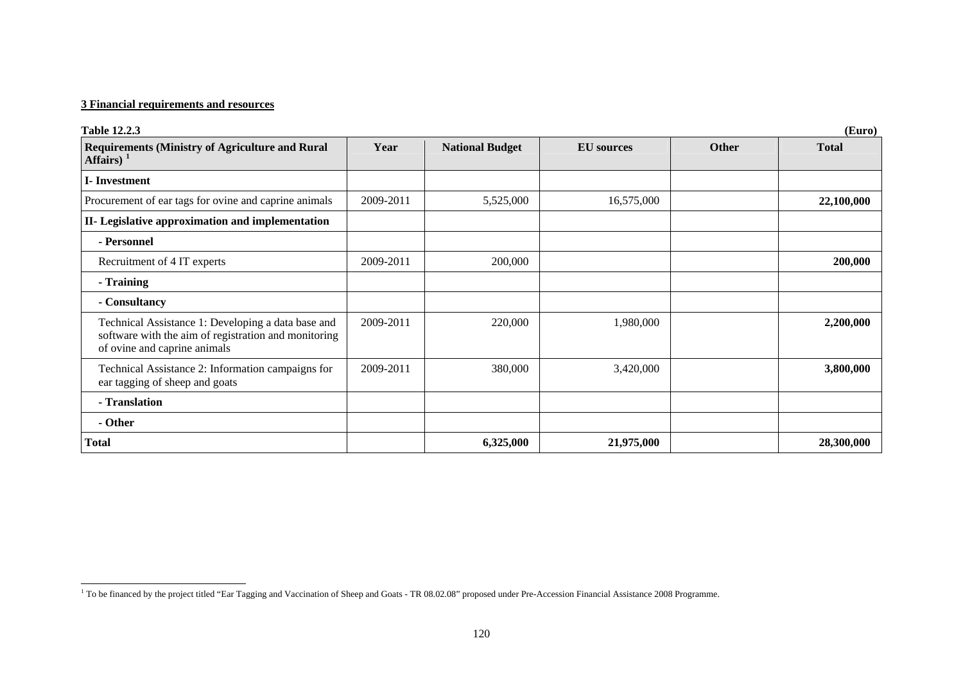| <b>Table 12.2.3</b>                                                                                                                        |           |                        |                   |              | (Euro)       |
|--------------------------------------------------------------------------------------------------------------------------------------------|-----------|------------------------|-------------------|--------------|--------------|
| <b>Requirements (Ministry of Agriculture and Rural</b><br>Affairs) $1$                                                                     | Year      | <b>National Budget</b> | <b>EU</b> sources | <b>Other</b> | <b>Total</b> |
| <b>I</b> -Investment                                                                                                                       |           |                        |                   |              |              |
| Procurement of ear tags for ovine and caprine animals                                                                                      | 2009-2011 | 5,525,000              | 16,575,000        |              | 22,100,000   |
| II- Legislative approximation and implementation                                                                                           |           |                        |                   |              |              |
| - Personnel                                                                                                                                |           |                        |                   |              |              |
| Recruitment of 4 IT experts                                                                                                                | 2009-2011 | 200,000                |                   |              | 200,000      |
| - Training                                                                                                                                 |           |                        |                   |              |              |
| - Consultancy                                                                                                                              |           |                        |                   |              |              |
| Technical Assistance 1: Developing a data base and<br>software with the aim of registration and monitoring<br>of ovine and caprine animals | 2009-2011 | 220,000                | 1,980,000         |              | 2,200,000    |
| Technical Assistance 2: Information campaigns for<br>ear tagging of sheep and goats                                                        | 2009-2011 | 380,000                | 3,420,000         |              | 3,800,000    |
| - Translation                                                                                                                              |           |                        |                   |              |              |
| - Other                                                                                                                                    |           |                        |                   |              |              |
| <b>Total</b>                                                                                                                               |           | 6,325,000              | 21,975,000        |              | 28,300,000   |

<span id="page-3-0"></span><sup>&</sup>lt;sup>1</sup> To be financed by the project titled "Ear Tagging and Vaccination of Sheep and Goats - TR 08.02.08" proposed under Pre-Accession Financial Assistance 2008 Programme.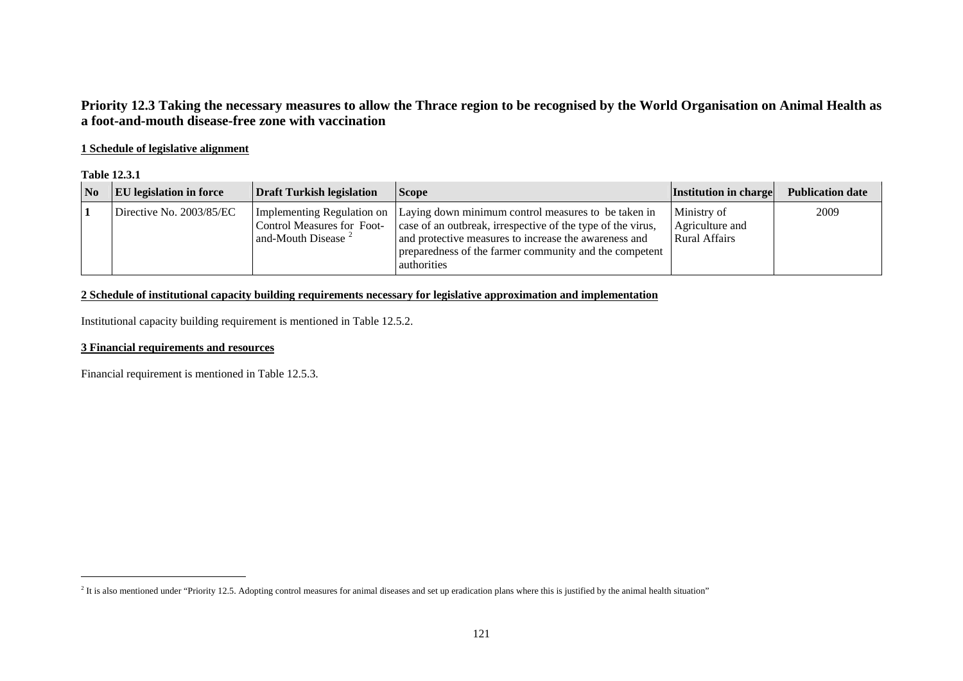# **Priority 12.3 Taking the necessary measures to allow the Thrace region to be recognised by the World Organisation on Animal Health as a foot-and-mouth disease-free zone with vaccination**

## **1 Schedule of legislative alignment**

#### **Table 12.3.1**

| $\overline{\mathbf{N}}$ | <b>EU</b> legislation in force | <b>Draft Turkish legislation</b>                                     | <i>Scope</i>                                                                                                                                                                                                                                                                    | <b>Institution in charge</b>                           | <b>Publication date</b> |
|-------------------------|--------------------------------|----------------------------------------------------------------------|---------------------------------------------------------------------------------------------------------------------------------------------------------------------------------------------------------------------------------------------------------------------------------|--------------------------------------------------------|-------------------------|
|                         | Directive No. 2003/85/EC       | <b>Control Measures for Foot-</b><br>and-Mouth Disease $\frac{2}{3}$ | Implementing Regulation on Laying down minimum control measures to be taken in<br>case of an outbreak, irrespective of the type of the virus,<br>and protective measures to increase the awareness and<br>preparedness of the farmer community and the competent<br>authorities | Ministry of<br>Agriculture and<br><b>Rural Affairs</b> | 2009                    |

## **2 Schedule of institutional capacity building requirements necessary for legislative approximation and implementation**

Institutional capacity building requirement is mentioned in Table 12.5.2.

## **3 Financial requirements and resources**

Financial requirement is mentioned in Table 12.5.3.

<span id="page-4-0"></span><sup>&</sup>lt;sup>2</sup> It is also mentioned under "Priority 12.5. Adopting control measures for animal diseases and set up eradication plans where this is justified by the animal health situation"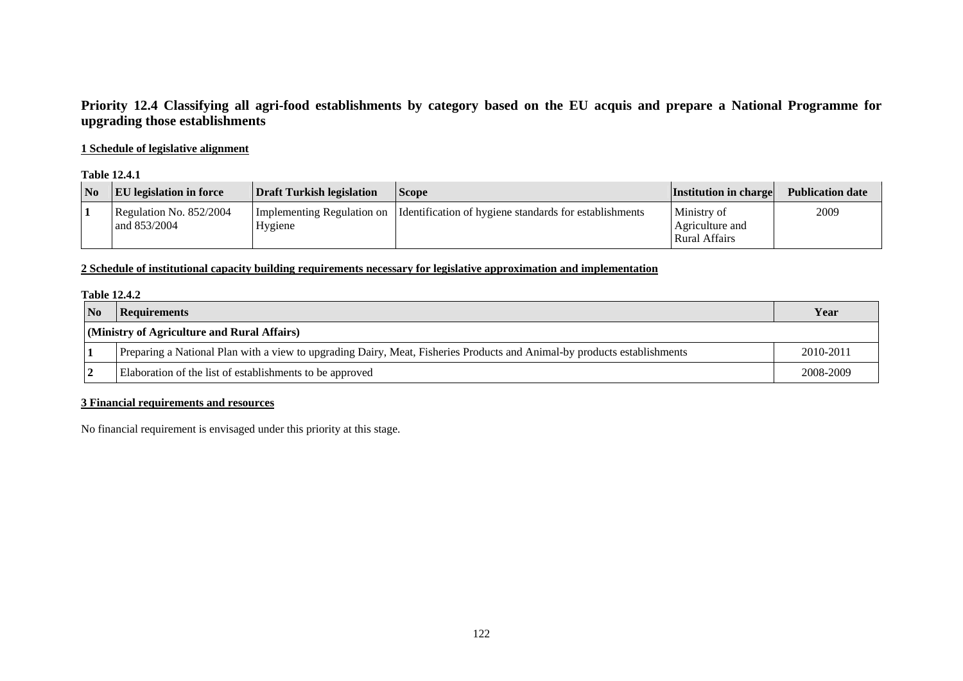# **Priority 12.4 Classifying all agri-food establishments by category based on the EU acquis and prepare a National Programme for upgrading those establishments**

## **1 Schedule of legislative alignment**

#### **Table 12.4.1**

| N <sub>0</sub> | <b>EU</b> legislation in force          | Draft Turkish legislation             | <b>Scope</b>                                           | <b>Institution in charge</b>                           | <b>Publication date</b> |
|----------------|-----------------------------------------|---------------------------------------|--------------------------------------------------------|--------------------------------------------------------|-------------------------|
|                | Regulation No. 852/2004<br>and 853/2004 | Implementing Regulation on<br>Hygiene | Identification of hygiene standards for establishments | Ministry of<br>Agriculture and<br><b>Rural Affairs</b> | 2009                    |

### **2 Schedule of institutional capacity building requirements necessary for legislative approximation and implementation**

#### **Table 12.4.2**

| <b>No</b> | <b>Requirements</b>                                                                                                      | Year      |  |
|-----------|--------------------------------------------------------------------------------------------------------------------------|-----------|--|
|           | (Ministry of Agriculture and Rural Affairs)                                                                              |           |  |
|           | Preparing a National Plan with a view to upgrading Dairy, Meat, Fisheries Products and Animal-by products establishments | 2010-2011 |  |
|           | Elaboration of the list of establishments to be approved                                                                 | 2008-2009 |  |

### **3 Financial requirements and resources**

No financial requirement is envisaged under this priority at this stage.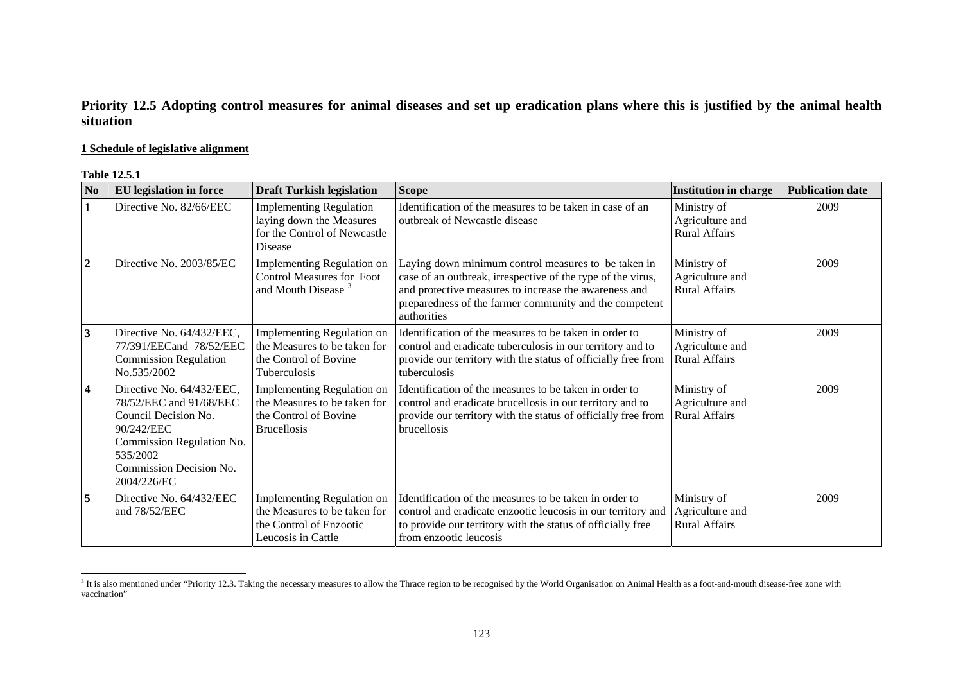# **Priority 12.5 Adopting control measures for animal diseases and set up eradication plans where this is justified by the animal health situation**

### **1 Schedule of legislative alignment**

#### **Table 12.5.1**

| $\bf No$       | <b>EU</b> legislation in force                                                                                                                                                | <b>Draft Turkish legislation</b>                                                                                  | <b>Scope</b>                                                                                                                                                                                                                                         | <b>Institution in charge</b>                           | <b>Publication date</b> |
|----------------|-------------------------------------------------------------------------------------------------------------------------------------------------------------------------------|-------------------------------------------------------------------------------------------------------------------|------------------------------------------------------------------------------------------------------------------------------------------------------------------------------------------------------------------------------------------------------|--------------------------------------------------------|-------------------------|
| 1              | Directive No. 82/66/EEC                                                                                                                                                       | <b>Implementing Regulation</b><br>laying down the Measures<br>for the Control of Newcastle<br>Disease             | Identification of the measures to be taken in case of an<br>outbreak of Newcastle disease                                                                                                                                                            | Ministry of<br>Agriculture and<br><b>Rural Affairs</b> | 2009                    |
| $\overline{2}$ | Directive No. 2003/85/EC                                                                                                                                                      | Implementing Regulation on<br><b>Control Measures for Foot</b><br>and Mouth Disease <sup>3</sup>                  | Laying down minimum control measures to be taken in<br>case of an outbreak, irrespective of the type of the virus,<br>and protective measures to increase the awareness and<br>preparedness of the farmer community and the competent<br>authorities | Ministry of<br>Agriculture and<br><b>Rural Affairs</b> | 2009                    |
| 3              | Directive No. 64/432/EEC,<br>77/391/EECand 78/52/EEC<br><b>Commission Regulation</b><br>No.535/2002                                                                           | <b>Implementing Regulation on</b><br>the Measures to be taken for<br>the Control of Bovine<br><b>Tuberculosis</b> | Identification of the measures to be taken in order to<br>control and eradicate tuberculosis in our territory and to<br>provide our territory with the status of officially free from<br>tuberculosis                                                | Ministry of<br>Agriculture and<br>Rural Affairs        | 2009                    |
| $\overline{4}$ | Directive No. 64/432/EEC,<br>78/52/EEC and 91/68/EEC<br>Council Decision No.<br>90/242/EEC<br>Commission Regulation No.<br>535/2002<br>Commission Decision No.<br>2004/226/EC | Implementing Regulation on<br>the Measures to be taken for<br>the Control of Bovine<br><b>Brucellosis</b>         | Identification of the measures to be taken in order to<br>control and eradicate brucellosis in our territory and to<br>provide our territory with the status of officially free from<br><b>brucellosis</b>                                           | Ministry of<br>Agriculture and<br><b>Rural Affairs</b> | 2009                    |
| 5              | Directive No. 64/432/EEC<br>and 78/52/EEC                                                                                                                                     | Implementing Regulation on<br>the Measures to be taken for<br>the Control of Enzootic<br>Leucosis in Cattle       | Identification of the measures to be taken in order to<br>control and eradicate enzootic leucosis in our territory and<br>to provide our territory with the status of officially free<br>from enzootic leucosis                                      | Ministry of<br>Agriculture and<br><b>Rural Affairs</b> | 2009                    |

<span id="page-6-0"></span><sup>&</sup>lt;sup>3</sup> It is also mentioned under "Priority 12.3. Taking the necessary measures to allow the Thrace region to be recognised by the World Organisation on Animal Health as a foot-and-mouth disease-free zone with vaccination"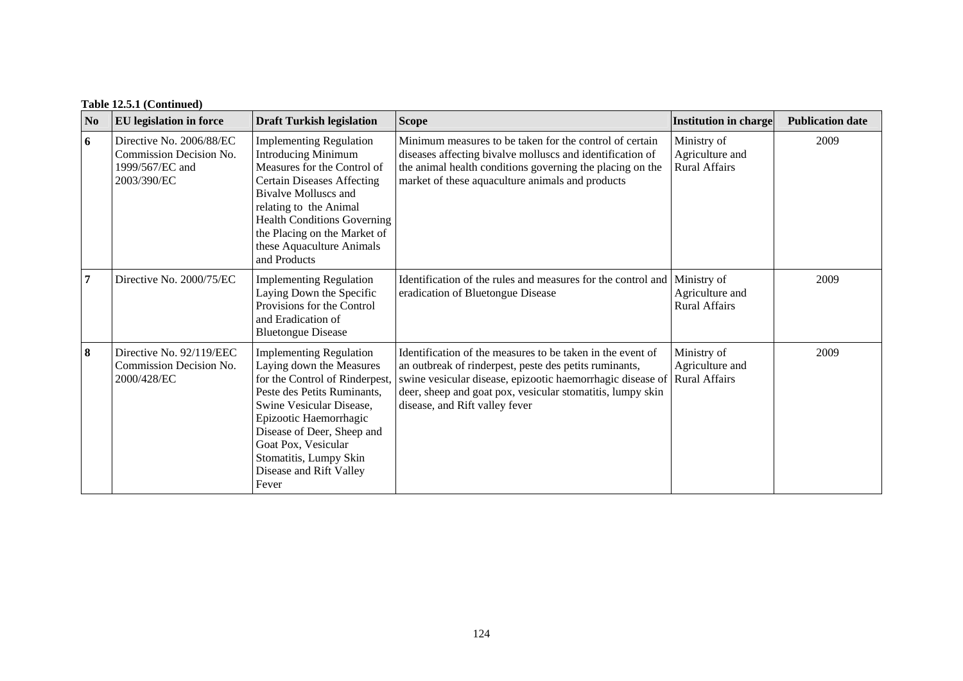|  |  | Table 12.5.1 (Continued) |
|--|--|--------------------------|
|--|--|--------------------------|

| N <sub>0</sub> | <b>EU</b> legislation in force                                                        | <b>Draft Turkish legislation</b>                                                                                                                                                                                                                                                                      | <b>Scope</b>                                                                                                                                                                                                                                                                       | Institution in charge                                  | <b>Publication date</b> |
|----------------|---------------------------------------------------------------------------------------|-------------------------------------------------------------------------------------------------------------------------------------------------------------------------------------------------------------------------------------------------------------------------------------------------------|------------------------------------------------------------------------------------------------------------------------------------------------------------------------------------------------------------------------------------------------------------------------------------|--------------------------------------------------------|-------------------------|
| 6              | Directive No. 2006/88/EC<br>Commission Decision No.<br>1999/567/EC and<br>2003/390/EC | <b>Implementing Regulation</b><br><b>Introducing Minimum</b><br>Measures for the Control of<br><b>Certain Diseases Affecting</b><br>Bivalve Molluscs and<br>relating to the Animal<br><b>Health Conditions Governing</b><br>the Placing on the Market of<br>these Aquaculture Animals<br>and Products | Minimum measures to be taken for the control of certain<br>diseases affecting bivalve molluscs and identification of<br>the animal health conditions governing the placing on the<br>market of these aquaculture animals and products                                              | Ministry of<br>Agriculture and<br><b>Rural Affairs</b> | 2009                    |
| $\overline{7}$ | Directive No. 2000/75/EC                                                              | <b>Implementing Regulation</b><br>Laying Down the Specific<br>Provisions for the Control<br>and Eradication of<br><b>Bluetongue Disease</b>                                                                                                                                                           | Identification of the rules and measures for the control and<br>eradication of Bluetongue Disease                                                                                                                                                                                  | Ministry of<br>Agriculture and<br><b>Rural Affairs</b> | 2009                    |
| 8              | Directive No. 92/119/EEC<br>Commission Decision No.<br>2000/428/EC                    | <b>Implementing Regulation</b><br>Laying down the Measures<br>for the Control of Rinderpest,<br>Peste des Petits Ruminants,<br>Swine Vesicular Disease,<br>Epizootic Haemorrhagic<br>Disease of Deer, Sheep and<br>Goat Pox, Vesicular<br>Stomatitis, Lumpy Skin<br>Disease and Rift Valley<br>Fever  | Identification of the measures to be taken in the event of<br>an outbreak of rinderpest, peste des petits ruminants,<br>swine vesicular disease, epizootic haemorrhagic disease of<br>deer, sheep and goat pox, vesicular stomatitis, lumpy skin<br>disease, and Rift valley fever | Ministry of<br>Agriculture and<br><b>Rural Affairs</b> | 2009                    |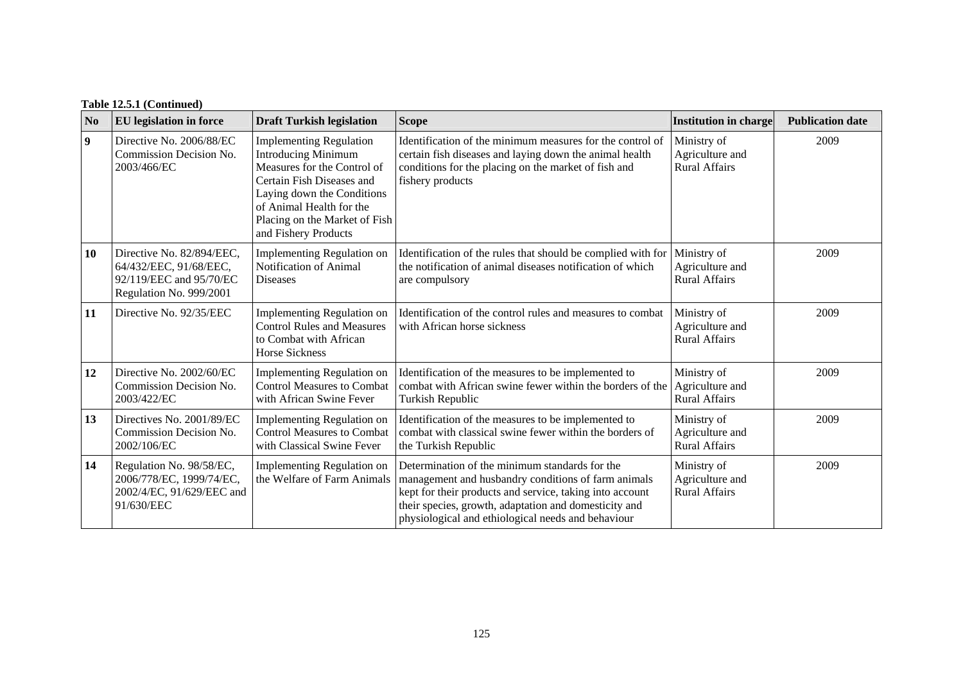| Table 12.5.1 (Continued) |  |
|--------------------------|--|
|--------------------------|--|

| N <sub>0</sub> | <b>EU</b> legislation in force                                                                            | <b>Draft Turkish legislation</b>                                                                                                                                                                                                            | <b>Scope</b>                                                                                                                                                                                                                                                                     | <b>Institution in charge</b>                           | <b>Publication date</b> |
|----------------|-----------------------------------------------------------------------------------------------------------|---------------------------------------------------------------------------------------------------------------------------------------------------------------------------------------------------------------------------------------------|----------------------------------------------------------------------------------------------------------------------------------------------------------------------------------------------------------------------------------------------------------------------------------|--------------------------------------------------------|-------------------------|
| 9              | Directive No. 2006/88/EC<br>Commission Decision No.<br>2003/466/EC                                        | <b>Implementing Regulation</b><br><b>Introducing Minimum</b><br>Measures for the Control of<br>Certain Fish Diseases and<br>Laying down the Conditions<br>of Animal Health for the<br>Placing on the Market of Fish<br>and Fishery Products | Identification of the minimum measures for the control of<br>certain fish diseases and laying down the animal health<br>conditions for the placing on the market of fish and<br>fishery products                                                                                 | Ministry of<br>Agriculture and<br><b>Rural Affairs</b> | 2009                    |
| <b>10</b>      | Directive No. 82/894/EEC,<br>64/432/EEC, 91/68/EEC,<br>92/119/EEC and 95/70/EC<br>Regulation No. 999/2001 | Implementing Regulation on<br>Notification of Animal<br>Diseases                                                                                                                                                                            | Identification of the rules that should be complied with for<br>the notification of animal diseases notification of which<br>are compulsory                                                                                                                                      | Ministry of<br>Agriculture and<br><b>Rural Affairs</b> | 2009                    |
| 11             | Directive No. 92/35/EEC                                                                                   | <b>Implementing Regulation on</b><br><b>Control Rules and Measures</b><br>to Combat with African<br><b>Horse Sickness</b>                                                                                                                   | Identification of the control rules and measures to combat<br>with African horse sickness                                                                                                                                                                                        | Ministry of<br>Agriculture and<br><b>Rural Affairs</b> | 2009                    |
| 12             | Directive No. 2002/60/EC<br>Commission Decision No.<br>2003/422/EC                                        | Implementing Regulation on<br><b>Control Measures to Combat</b><br>with African Swine Fever                                                                                                                                                 | Identification of the measures to be implemented to<br>combat with African swine fewer within the borders of the<br>Turkish Republic                                                                                                                                             | Ministry of<br>Agriculture and<br><b>Rural Affairs</b> | 2009                    |
| 13             | Directives No. 2001/89/EC<br>Commission Decision No.<br>2002/106/EC                                       | <b>Implementing Regulation on</b><br><b>Control Measures to Combat</b><br>with Classical Swine Fever                                                                                                                                        | Identification of the measures to be implemented to<br>combat with classical swine fewer within the borders of<br>the Turkish Republic                                                                                                                                           | Ministry of<br>Agriculture and<br><b>Rural Affairs</b> | 2009                    |
| 14             | Regulation No. 98/58/EC,<br>2006/778/EC, 1999/74/EC,<br>2002/4/EC, 91/629/EEC and<br>91/630/EEC           | Implementing Regulation on<br>the Welfare of Farm Animals                                                                                                                                                                                   | Determination of the minimum standards for the<br>management and husbandry conditions of farm animals<br>kept for their products and service, taking into account<br>their species, growth, adaptation and domesticity and<br>physiological and ethiological needs and behaviour | Ministry of<br>Agriculture and<br><b>Rural Affairs</b> | 2009                    |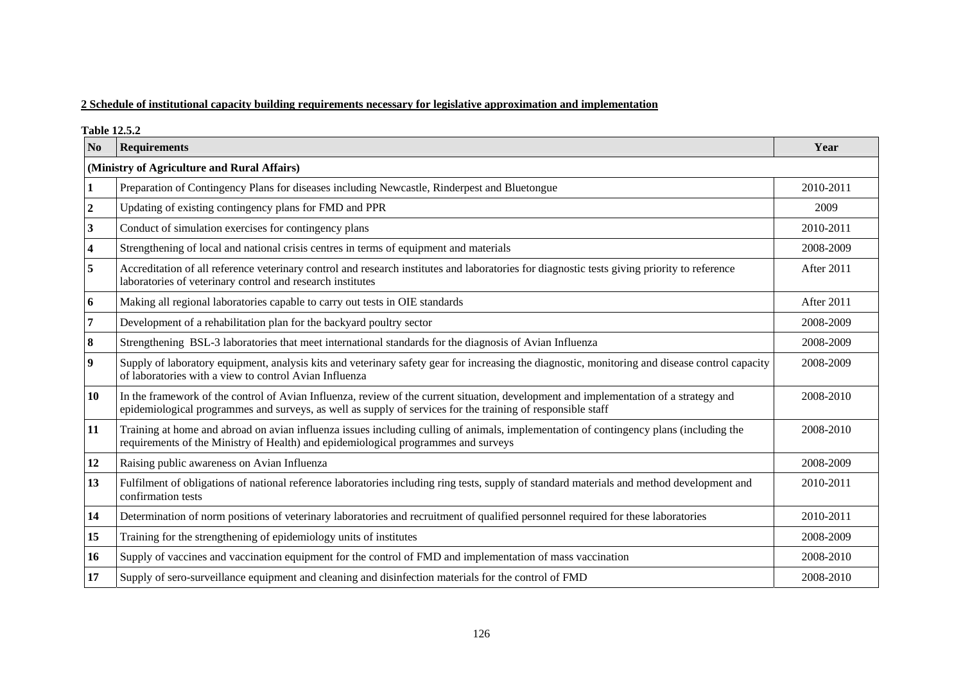# **2 Schedule of institutional capacity building requirements necessary for legislative approximation and implementation**

**Table 12.5.2** 

| N <sub>0</sub>   | <b>Requirements</b>                                                                                                                                                                                                                                  | Year       |  |  |  |  |
|------------------|------------------------------------------------------------------------------------------------------------------------------------------------------------------------------------------------------------------------------------------------------|------------|--|--|--|--|
|                  | (Ministry of Agriculture and Rural Affairs)                                                                                                                                                                                                          |            |  |  |  |  |
|                  | Preparation of Contingency Plans for diseases including Newcastle, Rinderpest and Bluetongue                                                                                                                                                         | 2010-2011  |  |  |  |  |
| $\boldsymbol{2}$ | Updating of existing contingency plans for FMD and PPR                                                                                                                                                                                               | 2009       |  |  |  |  |
| 3                | Conduct of simulation exercises for contingency plans                                                                                                                                                                                                | 2010-2011  |  |  |  |  |
| 4                | Strengthening of local and national crisis centres in terms of equipment and materials                                                                                                                                                               | 2008-2009  |  |  |  |  |
| 5                | Accreditation of all reference veterinary control and research institutes and laboratories for diagnostic tests giving priority to reference<br>laboratories of veterinary control and research institutes                                           | After 2011 |  |  |  |  |
| 6                | Making all regional laboratories capable to carry out tests in OIE standards                                                                                                                                                                         | After 2011 |  |  |  |  |
|                  | Development of a rehabilitation plan for the backyard poultry sector                                                                                                                                                                                 | 2008-2009  |  |  |  |  |
| 8                | Strengthening BSL-3 laboratories that meet international standards for the diagnosis of Avian Influenza                                                                                                                                              | 2008-2009  |  |  |  |  |
| 9                | Supply of laboratory equipment, analysis kits and veterinary safety gear for increasing the diagnostic, monitoring and disease control capacity<br>of laboratories with a view to control Avian Influenza                                            | 2008-2009  |  |  |  |  |
| 10               | In the framework of the control of Avian Influenza, review of the current situation, development and implementation of a strategy and<br>epidemiological programmes and surveys, as well as supply of services for the training of responsible staff | 2008-2010  |  |  |  |  |
| 11               | Training at home and abroad on avian influenza issues including culling of animals, implementation of contingency plans (including the<br>requirements of the Ministry of Health) and epidemiological programmes and surveys                         | 2008-2010  |  |  |  |  |
| 12               | Raising public awareness on Avian Influenza                                                                                                                                                                                                          | 2008-2009  |  |  |  |  |
| 13               | Fulfilment of obligations of national reference laboratories including ring tests, supply of standard materials and method development and<br>confirmation tests                                                                                     | 2010-2011  |  |  |  |  |
| 14               | Determination of norm positions of veterinary laboratories and recruitment of qualified personnel required for these laboratories                                                                                                                    | 2010-2011  |  |  |  |  |
| 15               | Training for the strengthening of epidemiology units of institutes                                                                                                                                                                                   | 2008-2009  |  |  |  |  |
| 16               | Supply of vaccines and vaccination equipment for the control of FMD and implementation of mass vaccination                                                                                                                                           | 2008-2010  |  |  |  |  |
| 17               | Supply of sero-surveillance equipment and cleaning and disinfection materials for the control of FMD                                                                                                                                                 | 2008-2010  |  |  |  |  |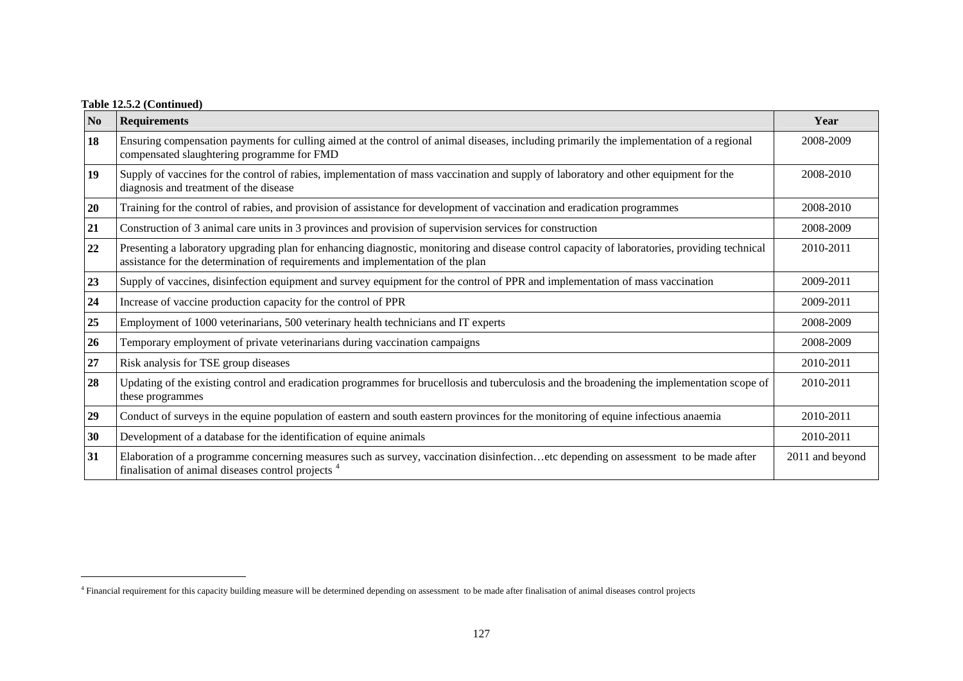|  |  | Table 12.5.2 (Continued) |
|--|--|--------------------------|
|--|--|--------------------------|

| $\mathbf{N}\mathbf{0}$ | <b>Requirements</b>                                                                                                                                                                                                              | Year            |
|------------------------|----------------------------------------------------------------------------------------------------------------------------------------------------------------------------------------------------------------------------------|-----------------|
| 18                     | Ensuring compensation payments for culling aimed at the control of animal diseases, including primarily the implementation of a regional<br>compensated slaughtering programme for FMD                                           | 2008-2009       |
| 19                     | Supply of vaccines for the control of rabies, implementation of mass vaccination and supply of laboratory and other equipment for the<br>diagnosis and treatment of the disease                                                  | 2008-2010       |
| 20                     | Training for the control of rabies, and provision of assistance for development of vaccination and eradication programmes                                                                                                        | 2008-2010       |
| 21                     | Construction of 3 animal care units in 3 provinces and provision of supervision services for construction                                                                                                                        | 2008-2009       |
| 22                     | Presenting a laboratory upgrading plan for enhancing diagnostic, monitoring and disease control capacity of laboratories, providing technical<br>assistance for the determination of requirements and implementation of the plan | 2010-2011       |
| 23                     | Supply of vaccines, disinfection equipment and survey equipment for the control of PPR and implementation of mass vaccination                                                                                                    | 2009-2011       |
| 24                     | Increase of vaccine production capacity for the control of PPR                                                                                                                                                                   | 2009-2011       |
| 25                     | Employment of 1000 veterinarians, 500 veterinary health technicians and IT experts                                                                                                                                               | 2008-2009       |
| 26                     | Temporary employment of private veterinarians during vaccination campaigns                                                                                                                                                       | 2008-2009       |
| 27                     | Risk analysis for TSE group diseases                                                                                                                                                                                             | 2010-2011       |
| 28                     | Updating of the existing control and eradication programmes for brucellosis and tuberculosis and the broadening the implementation scope of<br>these programmes                                                                  | 2010-2011       |
| 29                     | Conduct of surveys in the equine population of eastern and south eastern provinces for the monitoring of equine infectious anaemia                                                                                               | 2010-2011       |
| 30                     | Development of a database for the identification of equine animals                                                                                                                                                               | 2010-2011       |
| 31                     | Elaboration of a programme concerning measures such as survey, vaccination disinfectionetc depending on assessment to be made after<br>finalisation of animal diseases control projects <sup>4</sup>                             | 2011 and beyond |

<span id="page-10-0"></span><sup>&</sup>lt;sup>4</sup> Financial requirement for this capacity building measure will be determined depending on assessment to be made after finalisation of animal diseases control projects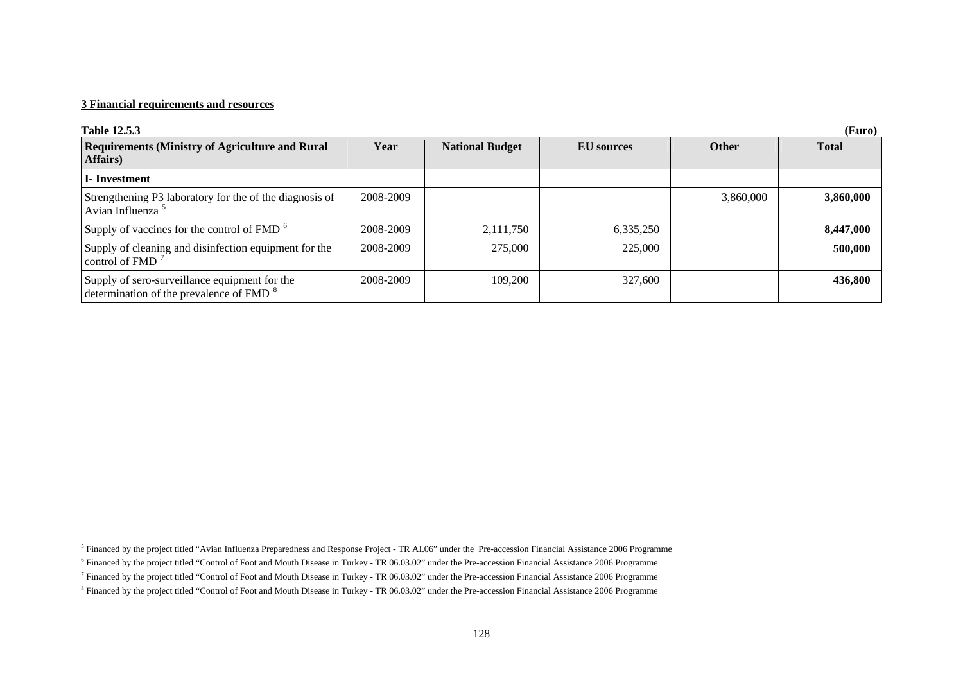| <b>Table 12.5.3</b>                                                                                  |           |                        |            |              | (Euro)       |
|------------------------------------------------------------------------------------------------------|-----------|------------------------|------------|--------------|--------------|
| <b>Requirements (Ministry of Agriculture and Rural</b><br>Affairs)                                   | Year      | <b>National Budget</b> | EU sources | <b>Other</b> | <b>Total</b> |
| I-Investment                                                                                         |           |                        |            |              |              |
| Strengthening P3 laboratory for the of the diagnosis of<br>Avian Influenza <sup>5</sup>              | 2008-2009 |                        |            | 3,860,000    | 3,860,000    |
| Supply of vaccines for the control of FMD <sup>6</sup>                                               | 2008-2009 | 2,111,750              | 6,335,250  |              | 8,447,000    |
| Supply of cleaning and disinfection equipment for the<br>control of FMD $7$                          | 2008-2009 | 275,000                | 225,000    |              | 500,000      |
| Supply of sero-surveillance equipment for the<br>determination of the prevalence of FMD <sup>8</sup> | 2008-2009 | 109,200                | 327,600    |              | 436,800      |

<span id="page-11-0"></span><sup>&</sup>lt;sup>5</sup> Financed by the project titled "Avian Influenza Preparedness and Response Project - TR AI.06" under the Pre-accession Financial Assistance 2006 Programme

<span id="page-11-1"></span><sup>&</sup>lt;sup>6</sup> Financed by the project titled "Control of Foot and Mouth Disease in Turkey - TR 06.03.02" under the Pre-accession Financial Assistance 2006 Programme

<sup>7</sup> Financed by the project titled "Control of Foot and Mouth Disease in Turkey - TR 06.03.02" under the Pre-accession Financial Assistance 2006 Programme

<span id="page-11-3"></span><span id="page-11-2"></span><sup>8</sup> Financed by the project titled "Control of Foot and Mouth Disease in Turkey - TR 06.03.02" under the Pre-accession Financial Assistance 2006 Programme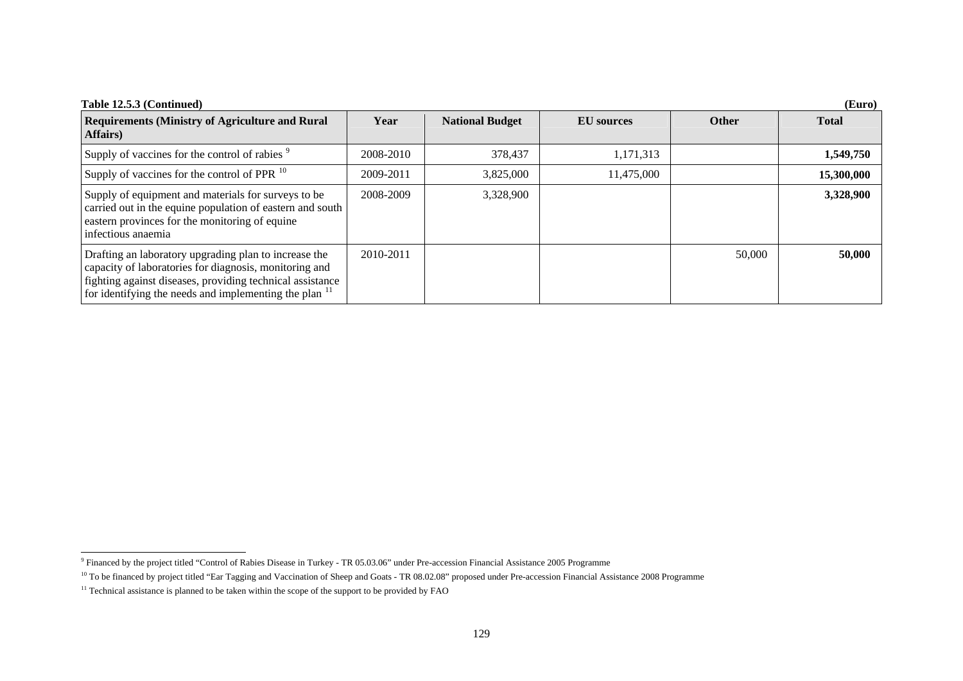| Table 12.5.3 (Continued)                                                                                                                                                                                                                          |           |                        |                   |              | (Euro)       |
|---------------------------------------------------------------------------------------------------------------------------------------------------------------------------------------------------------------------------------------------------|-----------|------------------------|-------------------|--------------|--------------|
| <b>Requirements (Ministry of Agriculture and Rural</b><br><b>Affairs</b> )                                                                                                                                                                        | Year      | <b>National Budget</b> | <b>EU</b> sources | <b>Other</b> | <b>Total</b> |
| Supply of vaccines for the control of rabies <sup>9</sup>                                                                                                                                                                                         | 2008-2010 | 378,437                | 1,171,313         |              | 1,549,750    |
| Supply of vaccines for the control of PPR $^{10}$                                                                                                                                                                                                 | 2009-2011 | 3,825,000              | 11,475,000        |              | 15,300,000   |
| Supply of equipment and materials for surveys to be<br>carried out in the equine population of eastern and south<br>eastern provinces for the monitoring of equine<br>infectious anaemia                                                          | 2008-2009 | 3,328,900              |                   |              | 3,328,900    |
| Drafting an laboratory upgrading plan to increase the<br>capacity of laboratories for diagnosis, monitoring and<br>fighting against diseases, providing technical assistance<br>for identifying the needs and implementing the plan <sup>11</sup> | 2010-2011 |                        |                   | 50,000       | 50,000       |

<span id="page-12-0"></span><sup>&</sup>lt;sup>9</sup> Financed by the project titled "Control of Rabies Disease in Turkey - TR 05.03.06" under Pre-accession Financial Assistance 2005 Programme

<span id="page-12-1"></span><sup>&</sup>lt;sup>10</sup> To be financed by project titled "Ear Tagging and Vaccination of Sheep and Goats - TR 08.02.08" proposed under Pre-accession Financial Assistance 2008 Programme

<span id="page-12-2"></span><sup>&</sup>lt;sup>11</sup> Technical assistance is planned to be taken within the scope of the support to be provided by FAO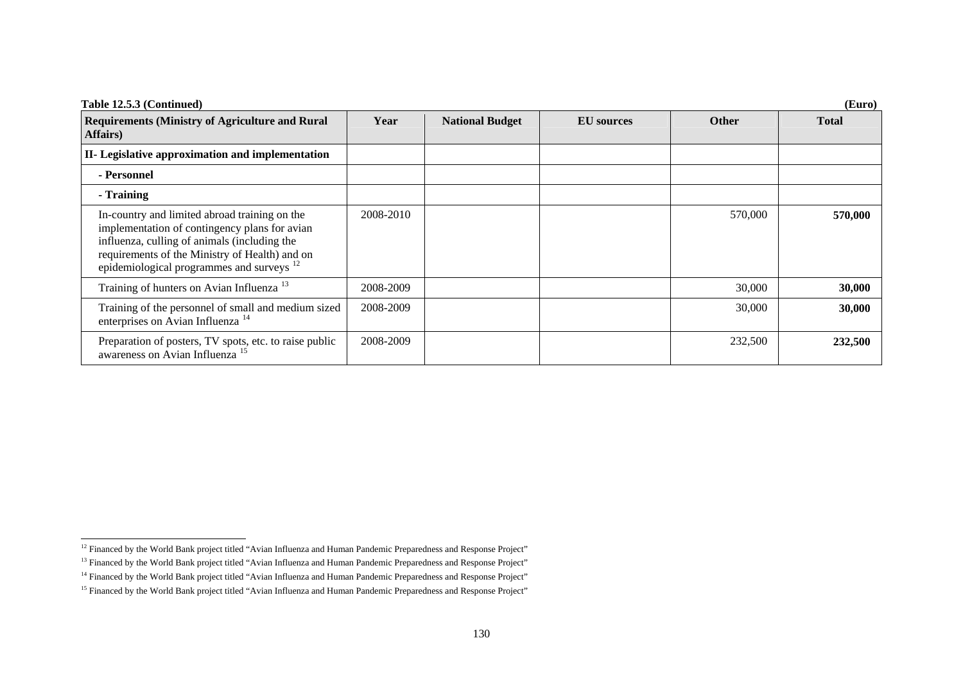| Table 12.5.3 (Continued)                                                                                                                                                                                                                                 |           |                        |            |              | (Euro)       |
|----------------------------------------------------------------------------------------------------------------------------------------------------------------------------------------------------------------------------------------------------------|-----------|------------------------|------------|--------------|--------------|
| <b>Requirements (Ministry of Agriculture and Rural</b><br>Affairs)                                                                                                                                                                                       | Year      | <b>National Budget</b> | EU sources | <b>Other</b> | <b>Total</b> |
| II- Legislative approximation and implementation                                                                                                                                                                                                         |           |                        |            |              |              |
| - Personnel                                                                                                                                                                                                                                              |           |                        |            |              |              |
| - Training                                                                                                                                                                                                                                               |           |                        |            |              |              |
| In-country and limited abroad training on the<br>implementation of contingency plans for avian<br>influenza, culling of animals (including the<br>requirements of the Ministry of Health) and on<br>epidemiological programmes and surveys <sup>12</sup> | 2008-2010 |                        |            | 570,000      | 570,000      |
| Training of hunters on Avian Influenza <sup>13</sup>                                                                                                                                                                                                     | 2008-2009 |                        |            | 30,000       | 30,000       |
| Training of the personnel of small and medium sized<br>enterprises on Avian Influenza <sup>14</sup>                                                                                                                                                      | 2008-2009 |                        |            | 30,000       | 30,000       |
| Preparation of posters, TV spots, etc. to raise public<br>awareness on Avian Influenza <sup>15</sup>                                                                                                                                                     | 2008-2009 |                        |            | 232,500      | 232,500      |

<span id="page-13-0"></span><sup>&</sup>lt;sup>12</sup> Financed by the World Bank project titled "Avian Influenza and Human Pandemic Preparedness and Response Project"

<span id="page-13-1"></span><sup>&</sup>lt;sup>13</sup> Financed by the World Bank project titled "Avian Influenza and Human Pandemic Preparedness and Response Project"

<span id="page-13-2"></span><sup>&</sup>lt;sup>14</sup> Financed by the World Bank project titled "Avian Influenza and Human Pandemic Preparedness and Response Project"

<span id="page-13-3"></span><sup>&</sup>lt;sup>15</sup> Financed by the World Bank project titled "Avian Influenza and Human Pandemic Preparedness and Response Project"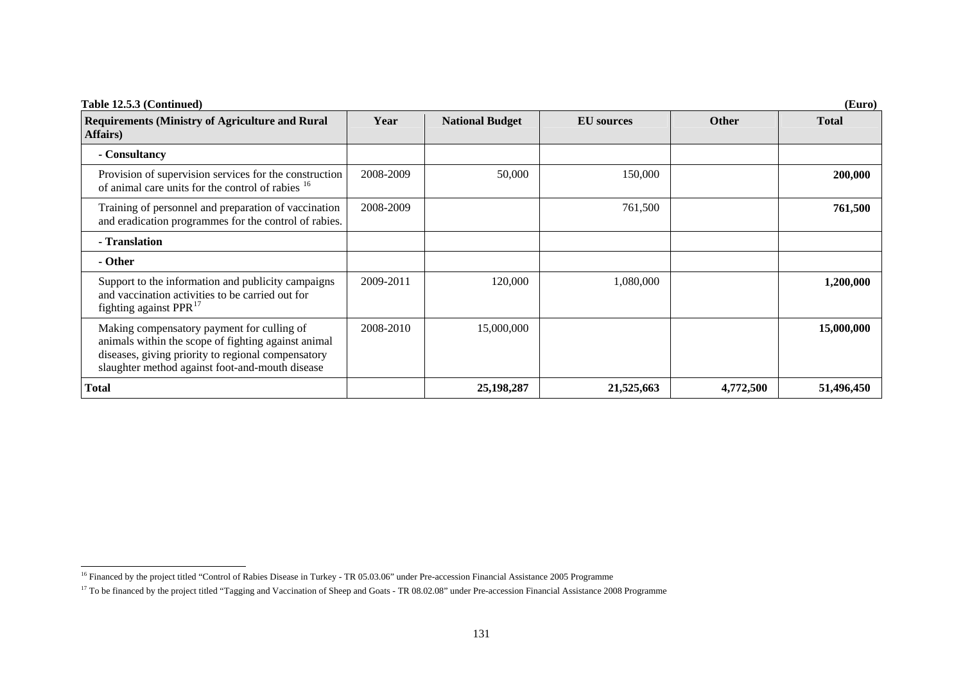| Table 12.5.3 (Continued)                                                                                                                                                                                   |           |                        |                   |              | (Euro)       |
|------------------------------------------------------------------------------------------------------------------------------------------------------------------------------------------------------------|-----------|------------------------|-------------------|--------------|--------------|
| <b>Requirements (Ministry of Agriculture and Rural</b><br>Affairs)                                                                                                                                         | Year      | <b>National Budget</b> | <b>EU</b> sources | <b>Other</b> | <b>Total</b> |
| - Consultancy                                                                                                                                                                                              |           |                        |                   |              |              |
| Provision of supervision services for the construction<br>of animal care units for the control of rabies <sup>16</sup>                                                                                     | 2008-2009 | 50,000                 | 150,000           |              | 200,000      |
| Training of personnel and preparation of vaccination<br>and eradication programmes for the control of rabies.                                                                                              | 2008-2009 |                        | 761,500           |              | 761,500      |
| - Translation                                                                                                                                                                                              |           |                        |                   |              |              |
| - Other                                                                                                                                                                                                    |           |                        |                   |              |              |
| Support to the information and publicity campaigns<br>and vaccination activities to be carried out for<br>fighting against PPR <sup>17</sup>                                                               | 2009-2011 | 120,000                | 1,080,000         |              | 1,200,000    |
| Making compensatory payment for culling of<br>animals within the scope of fighting against animal<br>diseases, giving priority to regional compensatory<br>slaughter method against foot-and-mouth disease | 2008-2010 | 15,000,000             |                   |              | 15,000,000   |
| <b>Total</b>                                                                                                                                                                                               |           | 25,198,287             | 21,525,663        | 4,772,500    | 51,496,450   |

<span id="page-14-0"></span><sup>&</sup>lt;sup>16</sup> Financed by the project titled "Control of Rabies Disease in Turkey - TR 05.03.06" under Pre-accession Financial Assistance 2005 Programme

<span id="page-14-1"></span><sup>&</sup>lt;sup>17</sup> To be financed by the project titled "Tagging and Vaccination of Sheep and Goats - TR 08.02.08" under Pre-accession Financial Assistance 2008 Programme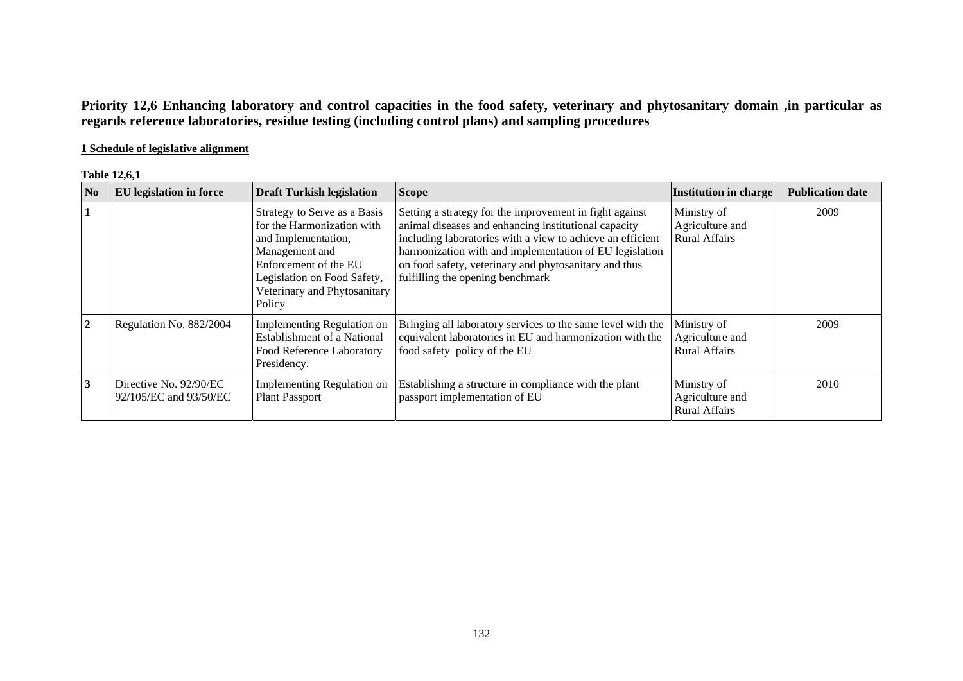**Priority 12,6 Enhancing laboratory and control capacities in the food safety, veterinary and phytosanitary domain ,in particular as regards reference laboratories, residue testing (including control plans) and sampling procedures** 

# **1 Schedule of legislative alignment**

| <b>Table 12.6.1</b> |  |
|---------------------|--|
|---------------------|--|

| <b>No</b>      | <b>EU</b> legislation in force                   | <b>Draft Turkish legislation</b>                                                                                                                                                                      | <b>Scope</b>                                                                                                                                                                                                                                                                                                                          | Institution in charge                                  | <b>Publication date</b> |
|----------------|--------------------------------------------------|-------------------------------------------------------------------------------------------------------------------------------------------------------------------------------------------------------|---------------------------------------------------------------------------------------------------------------------------------------------------------------------------------------------------------------------------------------------------------------------------------------------------------------------------------------|--------------------------------------------------------|-------------------------|
|                |                                                  | Strategy to Serve as a Basis<br>for the Harmonization with<br>and Implementation,<br>Management and<br>Enforcement of the EU<br>Legislation on Food Safety,<br>Veterinary and Phytosanitary<br>Policy | Setting a strategy for the improvement in fight against<br>animal diseases and enhancing institutional capacity<br>including laboratories with a view to achieve an efficient<br>harmonization with and implementation of EU legislation<br>on food safety, veterinary and phytosanitary and thus<br>fulfilling the opening benchmark | Ministry of<br>Agriculture and<br><b>Rural Affairs</b> | 2009                    |
| $\overline{2}$ | Regulation No. 882/2004                          | Implementing Regulation on<br><b>Establishment of a National</b><br>Food Reference Laboratory<br>Presidency.                                                                                          | Bringing all laboratory services to the same level with the<br>equivalent laboratories in EU and harmonization with the<br>food safety policy of the EU                                                                                                                                                                               | Ministry of<br>Agriculture and<br><b>Rural Affairs</b> | 2009                    |
| 3              | Directive No. 92/90/EC<br>92/105/EC and 93/50/EC | Implementing Regulation on<br><b>Plant Passport</b>                                                                                                                                                   | Establishing a structure in compliance with the plant<br>passport implementation of EU                                                                                                                                                                                                                                                | Ministry of<br>Agriculture and<br><b>Rural Affairs</b> | 2010                    |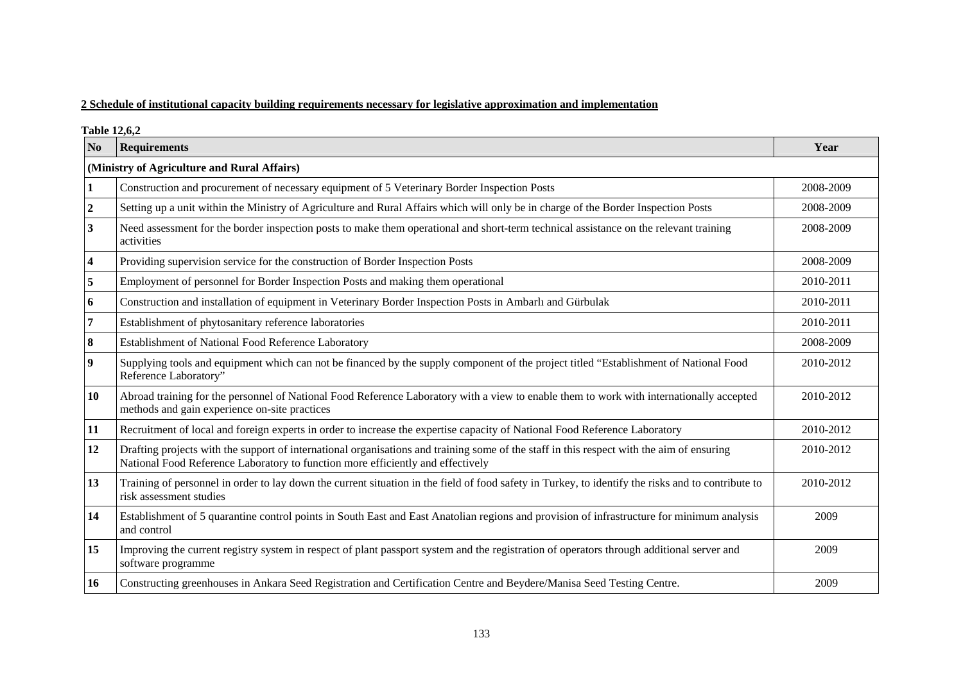## **2 Schedule of institutional capacity building requirements necessary for legislative approximation and implementation**

**Table 12,6,2** 

| N <sub>0</sub>   | <b>Requirements</b>                                                                                                                                                                                                          | Year      |  |  |  |  |
|------------------|------------------------------------------------------------------------------------------------------------------------------------------------------------------------------------------------------------------------------|-----------|--|--|--|--|
|                  | (Ministry of Agriculture and Rural Affairs)                                                                                                                                                                                  |           |  |  |  |  |
|                  | Construction and procurement of necessary equipment of 5 Veterinary Border Inspection Posts                                                                                                                                  | 2008-2009 |  |  |  |  |
| $\boldsymbol{2}$ | Setting up a unit within the Ministry of Agriculture and Rural Affairs which will only be in charge of the Border Inspection Posts                                                                                           | 2008-2009 |  |  |  |  |
| 3                | Need assessment for the border inspection posts to make them operational and short-term technical assistance on the relevant training<br>activities                                                                          | 2008-2009 |  |  |  |  |
| 4                | Providing supervision service for the construction of Border Inspection Posts                                                                                                                                                | 2008-2009 |  |  |  |  |
| 5                | Employment of personnel for Border Inspection Posts and making them operational                                                                                                                                              | 2010-2011 |  |  |  |  |
| 6                | Construction and installation of equipment in Veterinary Border Inspection Posts in Ambarlı and Gürbulak                                                                                                                     | 2010-2011 |  |  |  |  |
| 7                | Establishment of phytosanitary reference laboratories                                                                                                                                                                        | 2010-2011 |  |  |  |  |
| 8                | Establishment of National Food Reference Laboratory                                                                                                                                                                          | 2008-2009 |  |  |  |  |
| 9                | Supplying tools and equipment which can not be financed by the supply component of the project titled "Establishment of National Food<br>Reference Laboratory"                                                               | 2010-2012 |  |  |  |  |
| 10               | Abroad training for the personnel of National Food Reference Laboratory with a view to enable them to work with internationally accepted<br>methods and gain experience on-site practices                                    | 2010-2012 |  |  |  |  |
| 11               | Recruitment of local and foreign experts in order to increase the expertise capacity of National Food Reference Laboratory                                                                                                   | 2010-2012 |  |  |  |  |
| 12               | Drafting projects with the support of international organisations and training some of the staff in this respect with the aim of ensuring<br>National Food Reference Laboratory to function more efficiently and effectively | 2010-2012 |  |  |  |  |
| 13               | Training of personnel in order to lay down the current situation in the field of food safety in Turkey, to identify the risks and to contribute to<br>risk assessment studies                                                | 2010-2012 |  |  |  |  |
| 14               | Establishment of 5 quarantine control points in South East and East Anatolian regions and provision of infrastructure for minimum analysis<br>and control                                                                    | 2009      |  |  |  |  |
| 15               | Improving the current registry system in respect of plant passport system and the registration of operators through additional server and<br>software programme                                                              | 2009      |  |  |  |  |
| 16               | Constructing greenhouses in Ankara Seed Registration and Certification Centre and Beydere/Manisa Seed Testing Centre.                                                                                                        | 2009      |  |  |  |  |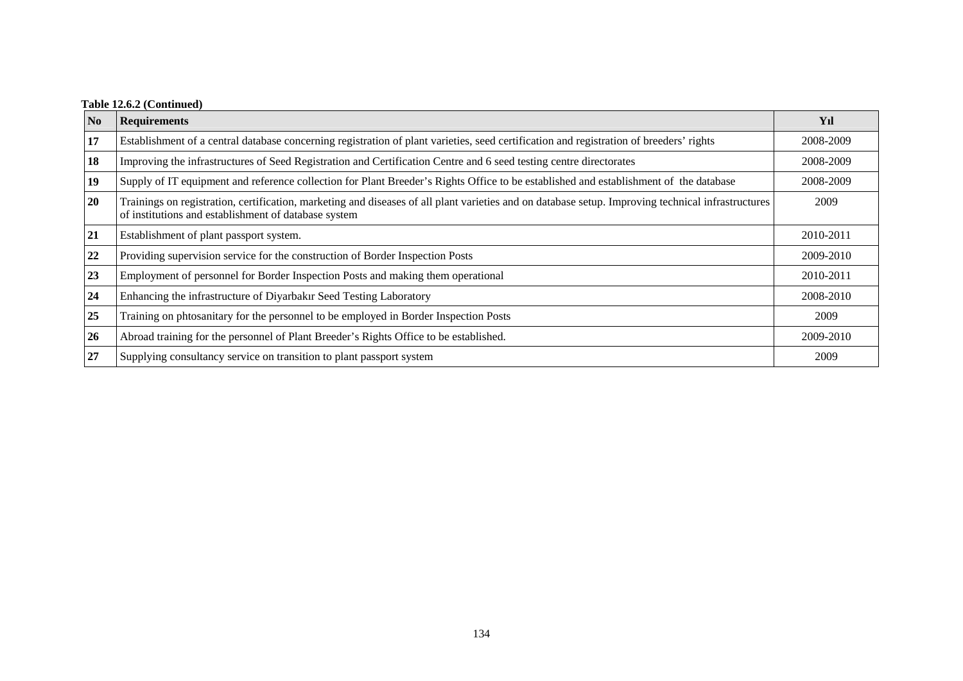# **Table 12.6.2 (Continued)**

| N <sub>0</sub> | <b>Requirements</b>                                                                                                                                                                                        | Yıl       |
|----------------|------------------------------------------------------------------------------------------------------------------------------------------------------------------------------------------------------------|-----------|
| 17             | Establishment of a central database concerning registration of plant varieties, seed certification and registration of breeders' rights                                                                    | 2008-2009 |
| 18             | Improving the infrastructures of Seed Registration and Certification Centre and 6 seed testing centre directorates                                                                                         | 2008-2009 |
| 19             | Supply of IT equipment and reference collection for Plant Breeder's Rights Office to be established and establishment of the database                                                                      | 2008-2009 |
| 20             | Trainings on registration, certification, marketing and diseases of all plant varieties and on database setup. Improving technical infrastructures<br>of institutions and establishment of database system | 2009      |
| 21             | Establishment of plant passport system.                                                                                                                                                                    | 2010-2011 |
| 22             | Providing supervision service for the construction of Border Inspection Posts                                                                                                                              | 2009-2010 |
| 23             | Employment of personnel for Border Inspection Posts and making them operational                                                                                                                            | 2010-2011 |
| 24             | Enhancing the infrastructure of Diyarbakır Seed Testing Laboratory                                                                                                                                         | 2008-2010 |
| 25             | Training on photsanitary for the personnel to be employed in Border Inspection Posts                                                                                                                       | 2009      |
| 26             | Abroad training for the personnel of Plant Breeder's Rights Office to be established.                                                                                                                      | 2009-2010 |
| 27             | Supplying consultancy service on transition to plant passport system                                                                                                                                       | 2009      |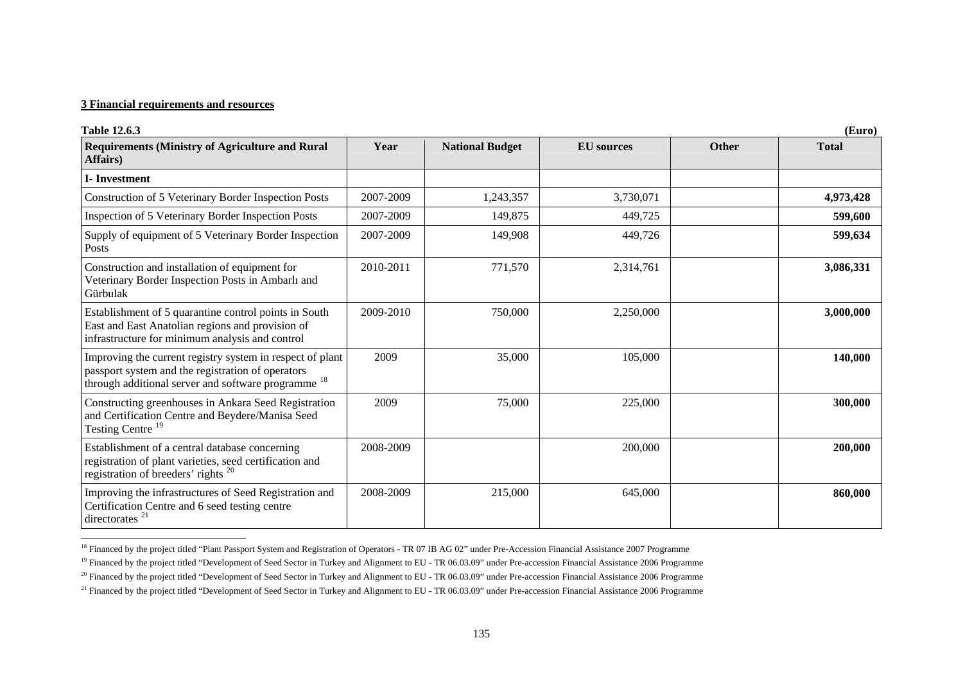| <b>Table 12.6.3</b><br>(Euro)                                                                                                                                                    |           |                        |                   |              |              |
|----------------------------------------------------------------------------------------------------------------------------------------------------------------------------------|-----------|------------------------|-------------------|--------------|--------------|
| <b>Requirements (Ministry of Agriculture and Rural</b><br>Affairs)                                                                                                               | Year      | <b>National Budget</b> | <b>EU</b> sources | <b>Other</b> | <b>Total</b> |
| <b>I</b> -Investment                                                                                                                                                             |           |                        |                   |              |              |
| Construction of 5 Veterinary Border Inspection Posts                                                                                                                             | 2007-2009 | 1,243,357              | 3,730,071         |              | 4,973,428    |
| Inspection of 5 Veterinary Border Inspection Posts                                                                                                                               | 2007-2009 | 149,875                | 449,725           |              | 599,600      |
| Supply of equipment of 5 Veterinary Border Inspection<br>Posts                                                                                                                   | 2007-2009 | 149,908                | 449,726           |              | 599,634      |
| Construction and installation of equipment for<br>Veterinary Border Inspection Posts in Ambarlı and<br>Gürbulak                                                                  | 2010-2011 | 771,570                | 2,314,761         |              | 3,086,331    |
| Establishment of 5 quarantine control points in South<br>East and East Anatolian regions and provision of<br>infrastructure for minimum analysis and control                     | 2009-2010 | 750,000                | 2,250,000         |              | 3,000,000    |
| Improving the current registry system in respect of plant<br>passport system and the registration of operators<br>through additional server and software programme <sup>18</sup> | 2009      | 35,000                 | 105,000           |              | 140,000      |
| Constructing greenhouses in Ankara Seed Registration<br>and Certification Centre and Beydere/Manisa Seed<br>Testing Centre <sup>19</sup>                                         | 2009      | 75,000                 | 225,000           |              | 300,000      |
| Establishment of a central database concerning<br>registration of plant varieties, seed certification and<br>registration of breeders' rights <sup>20</sup>                      | 2008-2009 |                        | 200,000           |              | 200,000      |
| Improving the infrastructures of Seed Registration and<br>Certification Centre and 6 seed testing centre<br>directorates <sup>21</sup>                                           | 2008-2009 | 215,000                | 645,000           |              | 860,000      |

<span id="page-18-0"></span><sup>&</sup>lt;sup>18</sup> Financed by the project titled "Plant Passport System and Registration of Operators - TR 07 IB AG 02" under Pre-Accession Financial Assistance 2007 Programme

<span id="page-18-1"></span><sup>&</sup>lt;sup>19</sup> Financed by the project titled "Development of Seed Sector in Turkey and Alignment to EU - TR 06.03.09" under Pre-accession Financial Assistance 2006 Programme

<span id="page-18-2"></span><sup>&</sup>lt;sup>20</sup> Financed by the project titled "Development of Seed Sector in Turkey and Alignment to EU - TR 06.03.09" under Pre-accession Financial Assistance 2006 Programme

<span id="page-18-3"></span><sup>&</sup>lt;sup>21</sup> Financed by the project titled "Development of Seed Sector in Turkey and Alignment to EU - TR 06.03.09" under Pre-accession Financial Assistance 2006 Programme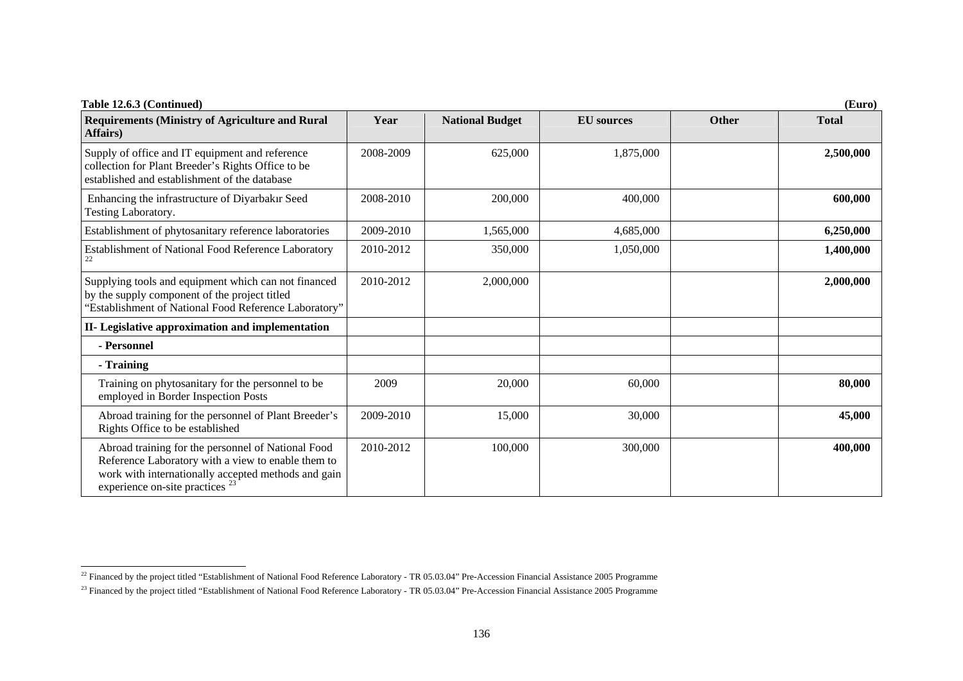| Table 12.6.3 (Continued)<br>(Euro)                                                                                                                                                                            |           |                        |                   |              |              |  |
|---------------------------------------------------------------------------------------------------------------------------------------------------------------------------------------------------------------|-----------|------------------------|-------------------|--------------|--------------|--|
| <b>Requirements (Ministry of Agriculture and Rural</b><br>Affairs)                                                                                                                                            | Year      | <b>National Budget</b> | <b>EU</b> sources | <b>Other</b> | <b>Total</b> |  |
| Supply of office and IT equipment and reference<br>collection for Plant Breeder's Rights Office to be<br>established and establishment of the database                                                        | 2008-2009 | 625,000                | 1,875,000         |              | 2,500,000    |  |
| Enhancing the infrastructure of Diyarbakır Seed<br>Testing Laboratory.                                                                                                                                        | 2008-2010 | 200,000                | 400,000           |              | 600,000      |  |
| Establishment of phytosanitary reference laboratories                                                                                                                                                         | 2009-2010 | 1,565,000              | 4,685,000         |              | 6,250,000    |  |
| Establishment of National Food Reference Laboratory                                                                                                                                                           | 2010-2012 | 350,000                | 1,050,000         |              | 1,400,000    |  |
| Supplying tools and equipment which can not financed<br>by the supply component of the project titled<br>"Establishment of National Food Reference Laboratory"                                                | 2010-2012 | 2,000,000              |                   |              | 2,000,000    |  |
| II- Legislative approximation and implementation                                                                                                                                                              |           |                        |                   |              |              |  |
| - Personnel                                                                                                                                                                                                   |           |                        |                   |              |              |  |
| - Training                                                                                                                                                                                                    |           |                        |                   |              |              |  |
| Training on phytosanitary for the personnel to be<br>employed in Border Inspection Posts                                                                                                                      | 2009      | 20,000                 | 60,000            |              | 80,000       |  |
| Abroad training for the personnel of Plant Breeder's<br>Rights Office to be established                                                                                                                       | 2009-2010 | 15,000                 | 30,000            |              | 45,000       |  |
| Abroad training for the personnel of National Food<br>Reference Laboratory with a view to enable them to<br>work with internationally accepted methods and gain<br>experience on-site practices <sup>23</sup> | 2010-2012 | 100,000                | 300,000           |              | 400,000      |  |

 $^{22}$  Financed by the project titled "Establishment of National Food Reference Laboratory - TR 05.03.04" Pre-Accession Financial Assistance 2005 Programme

<sup>&</sup>lt;sup>23</sup> Financed by the project titled "Establishment of National Food Reference Laboratory - TR 05.03.04" Pre-Accession Financial Assistance 2005 Programme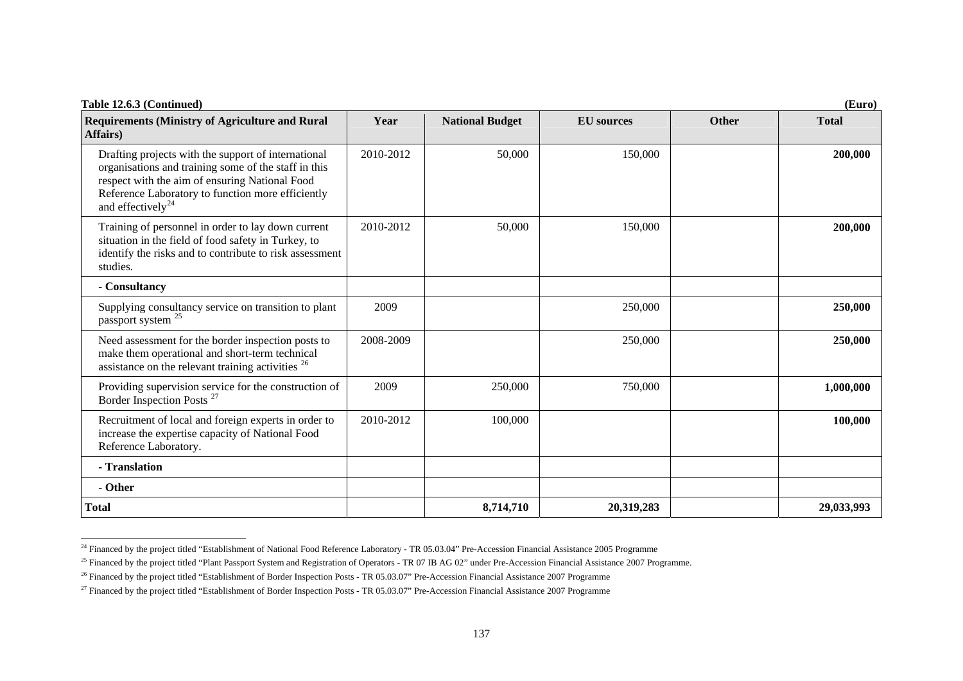| Table 12.6.3 (Continued)                                                                                                                                                                                                                            |           |                        |                   |       | (Euro)       |
|-----------------------------------------------------------------------------------------------------------------------------------------------------------------------------------------------------------------------------------------------------|-----------|------------------------|-------------------|-------|--------------|
| <b>Requirements (Ministry of Agriculture and Rural</b><br>Affairs)                                                                                                                                                                                  | Year      | <b>National Budget</b> | <b>EU</b> sources | Other | <b>Total</b> |
| Drafting projects with the support of international<br>organisations and training some of the staff in this<br>respect with the aim of ensuring National Food<br>Reference Laboratory to function more efficiently<br>and effectively <sup>24</sup> | 2010-2012 | 50,000                 | 150,000           |       | 200,000      |
| Training of personnel in order to lay down current<br>situation in the field of food safety in Turkey, to<br>identify the risks and to contribute to risk assessment<br>studies.                                                                    | 2010-2012 | 50,000                 | 150,000           |       | 200,000      |
| - Consultancy                                                                                                                                                                                                                                       |           |                        |                   |       |              |
| Supplying consultancy service on transition to plant<br>passport system <sup>25</sup>                                                                                                                                                               | 2009      |                        | 250,000           |       | 250,000      |
| Need assessment for the border inspection posts to<br>make them operational and short-term technical<br>assistance on the relevant training activities <sup>26</sup>                                                                                | 2008-2009 |                        | 250,000           |       | 250,000      |
| Providing supervision service for the construction of<br>Border Inspection Posts <sup>27</sup>                                                                                                                                                      | 2009      | 250,000                | 750,000           |       | 1,000,000    |
| Recruitment of local and foreign experts in order to<br>increase the expertise capacity of National Food<br>Reference Laboratory.                                                                                                                   | 2010-2012 | 100,000                |                   |       | 100,000      |
| - Translation                                                                                                                                                                                                                                       |           |                        |                   |       |              |
| - Other                                                                                                                                                                                                                                             |           |                        |                   |       |              |
| <b>Total</b>                                                                                                                                                                                                                                        |           | 8,714,710              | 20,319,283        |       | 29,033,993   |

<span id="page-20-0"></span><sup>&</sup>lt;sup>24</sup> Financed by the project titled "Establishment of National Food Reference Laboratory - TR 05.03.04" Pre-Accession Financial Assistance 2005 Programme

<span id="page-20-1"></span> $^{25}$  Financed by the project titled "Plant Passport System and Registration of Operators - TR 07 IB AG 02" under Pre-Accession Financial Assistance 2007 Programme.

<span id="page-20-2"></span><sup>&</sup>lt;sup>26</sup> Financed by the project titled "Establishment of Border Inspection Posts - TR 05.03.07" Pre-Accession Financial Assistance 2007 Programme

<span id="page-20-3"></span><sup>&</sup>lt;sup>27</sup> Financed by the project titled "Establishment of Border Inspection Posts - TR 05.03.07" Pre-Accession Financial Assistance 2007 Programme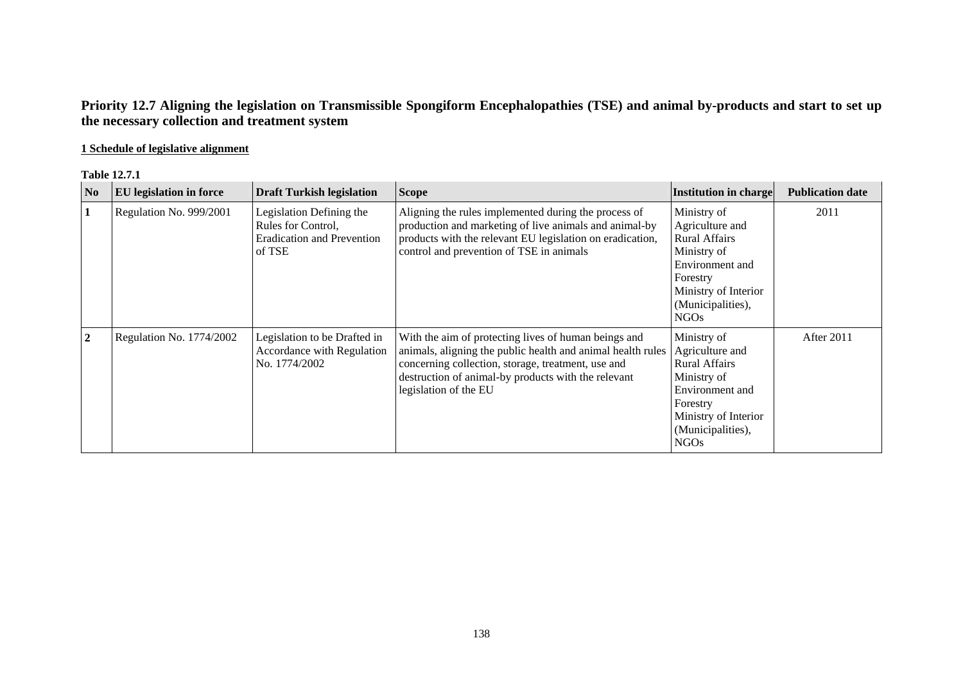# **Priority 12.7 Aligning the legislation on Transmissible Spongiform Encephalopathies (TSE) and animal by-products and start to set up the necessary collection and treatment system**

# **1 Schedule of legislative alignment**

#### **Table 12.7.1**

| N <sub>0</sub> | <b>EU</b> legislation in force | <b>Draft Turkish legislation</b>                                                              | <b>Scope</b>                                                                                                                                                                                                                                              | Institution in charge                                                                                                                                                 | <b>Publication date</b> |
|----------------|--------------------------------|-----------------------------------------------------------------------------------------------|-----------------------------------------------------------------------------------------------------------------------------------------------------------------------------------------------------------------------------------------------------------|-----------------------------------------------------------------------------------------------------------------------------------------------------------------------|-------------------------|
| 1              | Regulation No. 999/2001        | Legislation Defining the<br>Rules for Control,<br><b>Eradication and Prevention</b><br>of TSE | Aligning the rules implemented during the process of<br>production and marketing of live animals and animal-by<br>products with the relevant EU legislation on eradication,<br>control and prevention of TSE in animals                                   | Ministry of<br>Agriculture and<br><b>Rural Affairs</b><br>Ministry of<br>Environment and<br>Forestry<br>Ministry of Interior<br>(Municipalities),<br>NGO <sub>s</sub> | 2011                    |
| $\overline{2}$ | Regulation No. 1774/2002       | Legislation to be Drafted in<br>Accordance with Regulation<br>No. 1774/2002                   | With the aim of protecting lives of human beings and<br>animals, aligning the public health and animal health rules<br>concerning collection, storage, treatment, use and<br>destruction of animal-by products with the relevant<br>legislation of the EU | Ministry of<br>Agriculture and<br><b>Rural Affairs</b><br>Ministry of<br>Environment and<br>Forestry<br>Ministry of Interior<br>(Municipalities),<br><b>NGOs</b>      | After 2011              |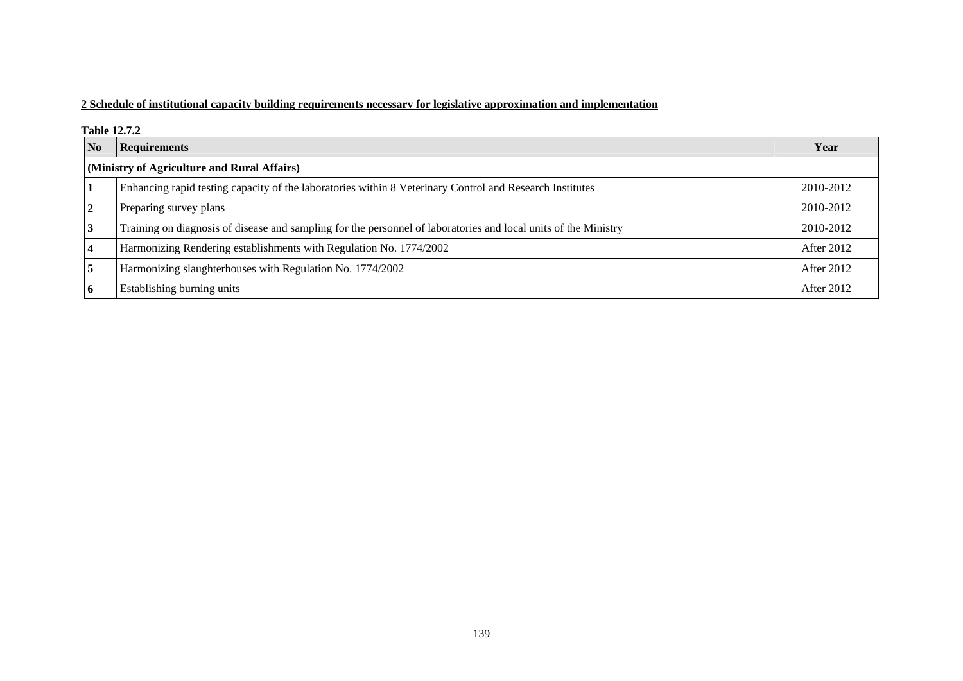## **2 Schedule of institutional capacity building requirements necessary for legislative approximation and implementation**

**Table 12.7.2** 

| $\overline{\mathbf{N}}$ | <b>Requirements</b>                                                                                             | Year              |  |  |  |  |
|-------------------------|-----------------------------------------------------------------------------------------------------------------|-------------------|--|--|--|--|
|                         | (Ministry of Agriculture and Rural Affairs)                                                                     |                   |  |  |  |  |
| 1                       | Enhancing rapid testing capacity of the laboratories within 8 Veterinary Control and Research Institutes        | 2010-2012         |  |  |  |  |
| $\sqrt{2}$              | Preparing survey plans                                                                                          | 2010-2012         |  |  |  |  |
| $\overline{3}$          | Training on diagnosis of disease and sampling for the personnel of laboratories and local units of the Ministry | 2010-2012         |  |  |  |  |
| <b>4</b>                | Harmonizing Rendering establishments with Regulation No. 1774/2002                                              | After 2012        |  |  |  |  |
| 5                       | Harmonizing slaughterhouses with Regulation No. 1774/2002                                                       | After 2012        |  |  |  |  |
| 6                       | Establishing burning units                                                                                      | <b>After 2012</b> |  |  |  |  |